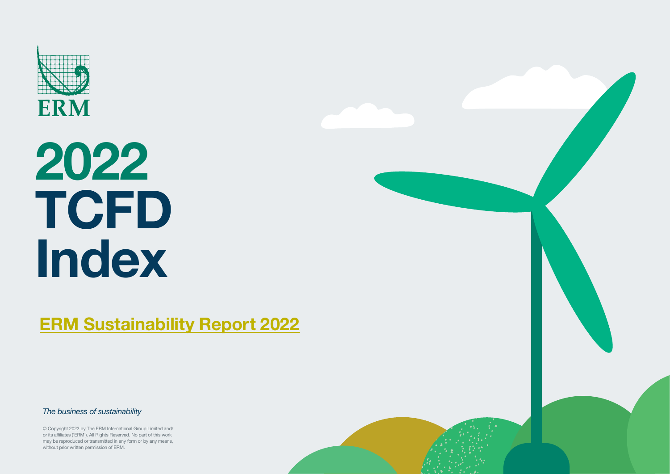

**[ERM Sustainability Report 2022](https://www.erm.com/sustainability-report/)**

*The business of sustainability*

© Copyright 2022 by The ERM International Group Limited and/ or its affiliates ('ERM'). All Rights Reserved. No part of this work may be reproduced or transmitted in any form or by any means, without prior written permission of ERM.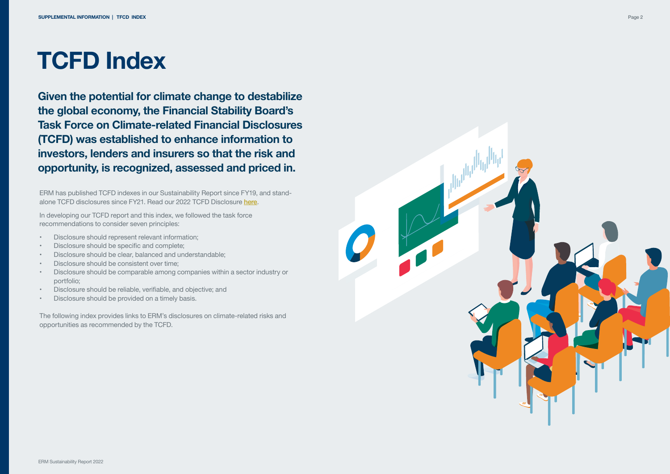## **TCFD Index**

**Given the potential for climate change to destabilize the global economy, the Financial Stability Board's Task Force on Climate-related Financial Disclosures (TCFD) was established to enhance information to investors, lenders and insurers so that the risk and opportunity, is recognized, assessed and priced in.** 

ERM has published TCFD indexes in our Sustainability Report since FY19, and standalone TCFD disclosures since FY21. Read our 2022 TCFD Disclosure [here](https://www.erm.com/globalassets/2022/tcfd-disclosure_erm-sustainability-report-2022.pdf).

In developing our TCFD report and this index, we followed the task force recommendations to consider seven principles:

- Disclosure should represent relevant information;
- Disclosure should be specific and complete;
- Disclosure should be clear, balanced and understandable;
- Disclosure should be consistent over time;
- Disclosure should be comparable among companies within a sector industry or portfolio;
- Disclosure should be reliable, verifiable, and objective; and
- Disclosure should be provided on a timely basis.

The following index provides links to ERM's disclosures on climate-related risks and opportunities as recommended by the TCFD.

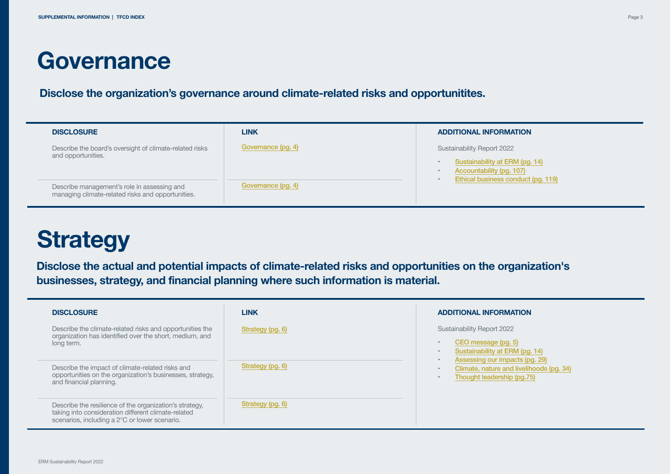### **Governance**

**Disclose the organization's governance around climate-related risks and opportunitites.**

| <b>DISCLOSURE</b>                                                                                | <b>LINK</b>        | <b>ADDITIONAL INFORMATION</b>      |
|--------------------------------------------------------------------------------------------------|--------------------|------------------------------------|
|                                                                                                  |                    |                                    |
| Describe the board's oversight of climate-related risks<br>and opportunities.                    | Governance (pg. 4) | Sustainability Report 2022         |
|                                                                                                  |                    | Sustainability at ERM (pg. 14)     |
|                                                                                                  |                    | Accountability (pg. 107)           |
| Describe management's role in assessing and<br>managing climate-related risks and opportunities. | Governance (pg. 4) | Ethical business conduct (pg. 119) |

# **Strategy**

**Disclose the actual and potential impacts of climate-related risks and opportunities on the organization's businesses, strategy, and financial planning where such information is material.**

| <b>DISCLOSURE</b>                                                                                                                                               | <b>LINK</b>                                                                                                                                                                                                                                     | <b>ADDITIONAL INFORMATION</b>            |
|-----------------------------------------------------------------------------------------------------------------------------------------------------------------|-------------------------------------------------------------------------------------------------------------------------------------------------------------------------------------------------------------------------------------------------|------------------------------------------|
| Describe the climate-related risks and opportunities the<br>organization has identified over the short, medium, and<br>long term.                               | Strategy (pg. 6)<br>Sustainability Report 2022<br>CEO message (pg. 5)<br>$\bullet$<br>Sustainability at ERM (pg. 14)<br>$\bullet$<br>Assessing our impacts (pg. 29)<br>$\bullet$<br>Strategy (pg. 6)<br>$\bullet$<br>Thought leadership (pg.75) |                                          |
| Describe the impact of climate-related risks and<br>opportunities on the organization's businesses, strategy,<br>and financial planning.                        |                                                                                                                                                                                                                                                 | Climate, nature and livelihoods (pq. 34) |
| Describe the resilience of the organization's strategy,<br>taking into consideration different climate-related<br>scenarios, including a 2°C or lower scenario. | Strategy (pg. 6)                                                                                                                                                                                                                                |                                          |